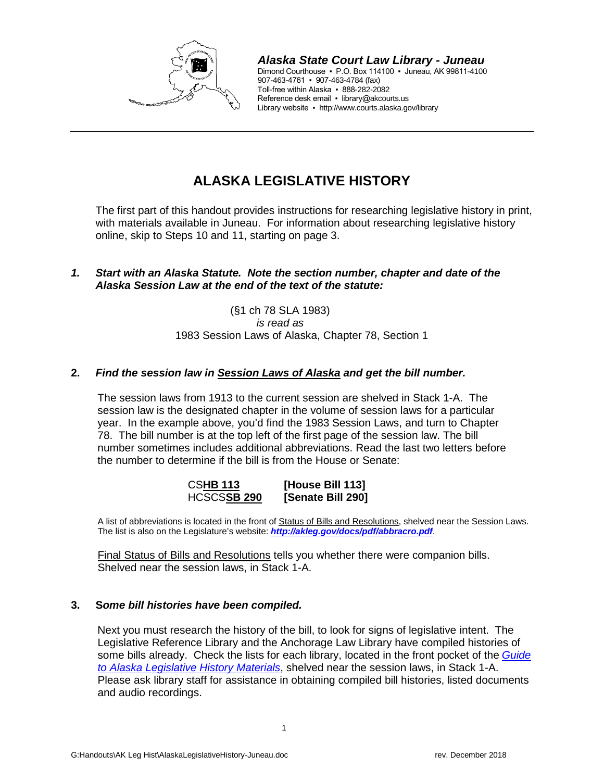

*Alaska State Court Law Library - Juneau* Dimond Courthouse ▪ P.O. Box 114100 ▪ Juneau, AK 99811-4100 907-463-4761 ▪ 907-463-4784 (fax) Toll-free within Alaska ▪ 888-282-2082 Reference desk email · library@akcourts.us Library website ▪ http://www.courts.alaska.gov/library

# **ALASKA LEGISLATIVE HISTORY**

The first part of this handout provides instructions for researching legislative history in print, with materials available in Juneau. For information about researching legislative history online, skip to Steps 10 and 11, starting on page 3.

## *1. Start with an Alaska Statute. Note the section number, chapter and date of the Alaska Session Law at the end of the text of the statute:*

(§1 ch 78 SLA 1983) *is read as* 1983 Session Laws of Alaska, Chapter 78, Section 1

## **2.** *Find the session law in Session Laws of Alaska and get the bill number.*

The session laws from 1913 to the current session are shelved in Stack 1-A. The session law is the designated chapter in the volume of session laws for a particular year. In the example above, you'd find the 1983 Session Laws, and turn to Chapter 78. The bill number is at the top left of the first page of the session law. The bill number sometimes includes additional abbreviations. Read the last two letters before the number to determine if the bill is from the House or Senate:

| <b>CSHB 113</b>    | [House Bill 113]  |
|--------------------|-------------------|
| <b>HCSCSSB 290</b> | [Senate Bill 290] |

A list of abbreviations is located in the front of Status of Bills and Resolutions, shelved near the Session Laws. The list is also on the Legislature's website: *<http://akleg.gov/docs/pdf/abbracro.pdf>*.

Final Status of Bills and Resolutions tells you whether there were companion bills. Shelved near the session laws, in Stack 1-A.

#### **3. S***ome bill histories have been compiled.*

Next you must research the history of the bill, to look for signs of legislative intent. The Legislative Reference Library and the Anchorage Law Library have compiled histories of some bills already. Check the lists for each library, located in the front pocket of the *[Guide](http://akleg.gov/laa/library/leg_history.php)  [to Alaska Legislative History Materials](http://akleg.gov/laa/library/leg_history.php)*, shelved near the session laws, in Stack 1-A. Please ask library staff for assistance in obtaining compiled bill histories, listed documents and audio recordings.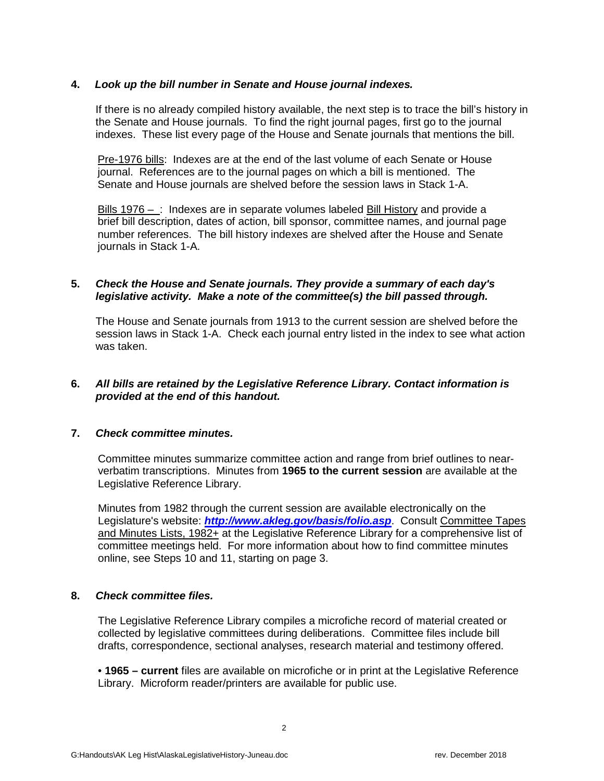## **4.** *Look up the bill number in Senate and House journal indexes.*

If there is no already compiled history available, the next step is to trace the bill's history in the Senate and House journals. To find the right journal pages, first go to the journal indexes. These list every page of the House and Senate journals that mentions the bill.

Pre-1976 bills: Indexes are at the end of the last volume of each Senate or House journal. References are to the journal pages on which a bill is mentioned. The Senate and House journals are shelved before the session laws in Stack 1-A.

Bills 1976 – : Indexes are in separate volumes labeled Bill History and provide a brief bill description, dates of action, bill sponsor, committee names, and journal page number references. The bill history indexes are shelved after the House and Senate journals in Stack 1-A.

### **5.** *Check the House and Senate journals. They provide a summary of each day's legislative activity. Make a note of the committee(s) the bill passed through.*

The House and Senate journals from 1913 to the current session are shelved before the session laws in Stack 1-A. Check each journal entry listed in the index to see what action was taken.

## **6.** *All bills are retained by the Legislative Reference Library. Contact information is provided at the end of this handout.*

#### **7.** *Check committee minutes.*

Committee minutes summarize committee action and range from brief outlines to nearverbatim transcriptions. Minutes from **1965 to the current session** are available at the Legislative Reference Library.

Minutes from 1982 through the current session are available electronically on the Legislature's website: *<http://www.akleg.gov/basis/folio.asp>*. Consult Committee Tapes and Minutes Lists, 1982+ at the Legislative Reference Library for a comprehensive list of committee meetings held. For more information about how to find committee minutes online, see Steps 10 and 11, starting on page 3.

#### **8.** *Check committee files.*

The Legislative Reference Library compiles a microfiche record of material created or collected by legislative committees during deliberations. Committee files include bill drafts, correspondence, sectional analyses, research material and testimony offered.

• **1965 – current** files are available on microfiche or in print at the Legislative Reference Library. Microform reader/printers are available for public use.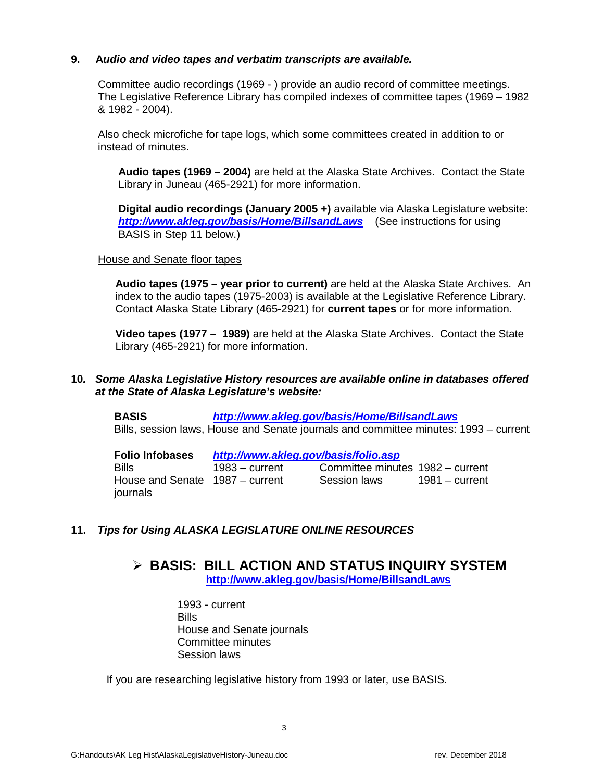## **9. A***udio and video tapes and verbatim transcripts are available.*

Committee audio recordings (1969 - ) provide an audio record of committee meetings. The Legislative Reference Library has compiled indexes of committee tapes (1969 – 1982 & 1982 - 2004).

Also check microfiche for tape logs, which some committees created in addition to or instead of minutes.

**Audio tapes (1969 – 2004)** are held at the Alaska State Archives. Contact the State Library in Juneau (465-2921) for more information.

**Digital audio recordings (January 2005 +)** available via Alaska Legislature website: *<http://www.akleg.gov/basis/Home/BillsandLaws>*(See instructions for using BASIS in Step 11 below.)

#### House and Senate floor tapes

**Audio tapes (1975 – year prior to current)** are held at the Alaska State Archives. An index to the audio tapes (1975-2003) is available at the Legislative Reference Library. Contact Alaska State Library (465-2921) for **current tapes** or for more information.

**Video tapes (1977 – 1989)** are held at the Alaska State Archives. Contact the State Library (465-2921) for more information.

#### **10***. Some Alaska Legislative History resources are available online in databases offered at the State of Alaska Legislature's website:*

**BASIS** *<http://www.akleg.gov/basis/Home/BillsandLaws>* Bills, session laws, House and Senate journals and committee minutes: 1993 – current

| <b>Folio Infobases</b>                      | http://www.akleg.gov/basis/folio.asp |                                  |                  |
|---------------------------------------------|--------------------------------------|----------------------------------|------------------|
| Bills                                       | $1983 - current$                     | Committee minutes 1982 – current |                  |
| House and Senate 1987 – current<br>journals |                                      | Session laws                     | $1981 -$ current |

## **11.** *Tips for Using ALASKA LEGISLATURE ONLINE RESOURCES*

## **BASIS: BILL ACTION AND STATUS INQUIRY SYSTEM <http://www.akleg.gov/basis/Home/BillsandLaws>**

1993 - current **Bills** House and Senate journals Committee minutes Session laws

If you are researching legislative history from 1993 or later, use BASIS.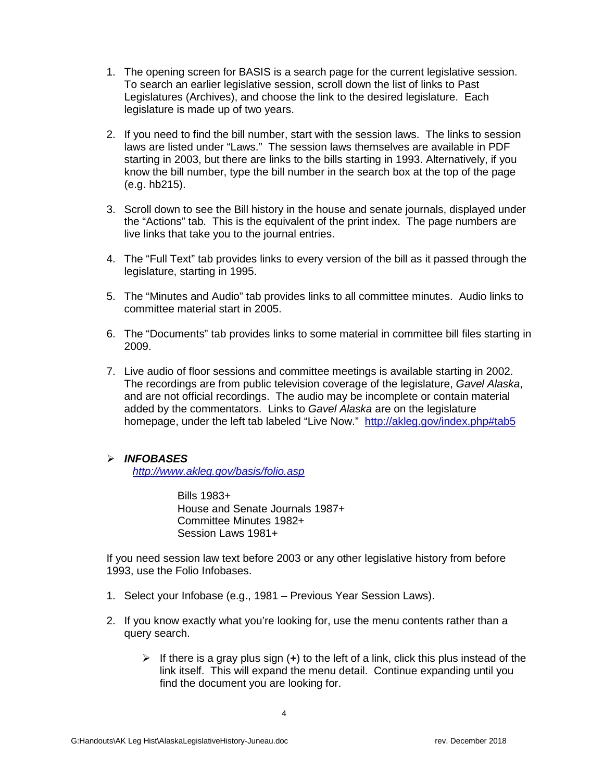- 1. The opening screen for BASIS is a search page for the current legislative session. To search an earlier legislative session, scroll down the list of links to Past Legislatures (Archives), and choose the link to the desired legislature. Each legislature is made up of two years.
- 2. If you need to find the bill number, start with the session laws. The links to session laws are listed under "Laws." The session laws themselves are available in PDF starting in 2003, but there are links to the bills starting in 1993. Alternatively, if you know the bill number, type the bill number in the search box at the top of the page (e.g. hb215).
- 3. Scroll down to see the Bill history in the house and senate journals, displayed under the "Actions" tab. This is the equivalent of the print index. The page numbers are live links that take you to the journal entries.
- 4. The "Full Text" tab provides links to every version of the bill as it passed through the legislature, starting in 1995.
- 5. The "Minutes and Audio" tab provides links to all committee minutes. Audio links to committee material start in 2005.
- 6. The "Documents" tab provides links to some material in committee bill files starting in 2009.
- 7. Live audio of floor sessions and committee meetings is available starting in 2002. The recordings are from public television coverage of the legislature, *Gavel Alaska*, and are not official recordings. The audio may be incomplete or contain material added by the commentators. Links to *Gavel Alaska* are on the legislature homepage, under the left tab labeled "Live Now." <http://akleg.gov/index.php#tab5>

#### *INFOBASES*

*<http://www.akleg.gov/basis/folio.asp>*

Bills 1983+ House and Senate Journals 1987+ Committee Minutes 1982+ Session Laws 1981+

If you need session law text before 2003 or any other legislative history from before 1993, use the Folio Infobases.

- 1. Select your Infobase (e.g., 1981 Previous Year Session Laws).
- 2. If you know exactly what you're looking for, use the menu contents rather than a query search.
	- If there is a gray plus sign  $(+)$  to the left of a link, click this plus instead of the link itself. This will expand the menu detail. Continue expanding until you find the document you are looking for.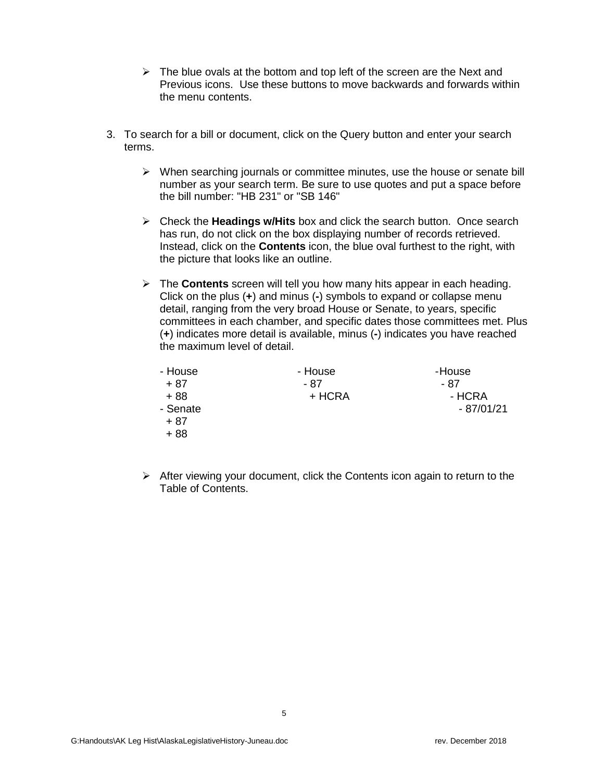- $\triangleright$  The blue ovals at the bottom and top left of the screen are the Next and Previous icons. Use these buttons to move backwards and forwards within the menu contents.
- 3. To search for a bill or document, click on the Query button and enter your search terms.
	- $\triangleright$  When searching journals or committee minutes, use the house or senate bill number as your search term. Be sure to use quotes and put a space before the bill number: "HB 231" or "SB 146"
	- Check the **Headings w/Hits** box and click the search button. Once search has run, do not click on the box displaying number of records retrieved. Instead, click on the **Contents** icon, the blue oval furthest to the right, with the picture that looks like an outline.
	- The **Contents** screen will tell you how many hits appear in each heading. Click on the plus (**+**) and minus (**-**) symbols to expand or collapse menu detail, ranging from the very broad House or Senate, to years, specific committees in each chamber, and specific dates those committees met. Plus (**+**) indicates more detail is available, minus (**-**) indicates you have reached the maximum level of detail.

| - House  | - House | -House      |
|----------|---------|-------------|
| + 87     | - 87    | - 87        |
| $+88$    | + HCRA  | - HCRA      |
| - Senate |         | $-87/01/21$ |
| + 87     |         |             |
| $+88$    |         |             |

 $\triangleright$  After viewing your document, click the Contents icon again to return to the Table of Contents.